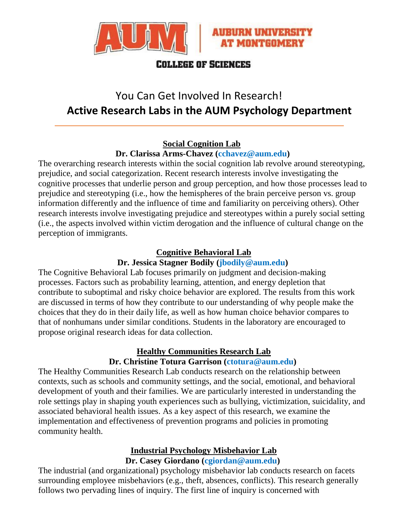



# **COLLEGE OF SCIENCES**

# You Can Get Involved In Research! **Active Research Labs in the AUM Psychology Department**

# **Social Cognition Lab**

**Dr. Clarissa Arms-Chavez (cchavez@aum.edu)**

The overarching research interests within the social cognition lab revolve around stereotyping, prejudice, and social categorization. Recent research interests involve investigating the cognitive processes that underlie person and group perception, and how those processes lead to prejudice and stereotyping (i.e., how the hemispheres of the brain perceive person vs. group information differently and the influence of time and familiarity on perceiving others). Other research interests involve investigating prejudice and stereotypes within a purely social setting (i.e., the aspects involved within victim derogation and the influence of cultural change on the perception of immigrants.

## **Cognitive Behavioral Lab**

## **Dr. Jessica Stagner Bodily (jbodily@aum.edu)**

The Cognitive Behavioral Lab focuses primarily on judgment and decision-making processes. Factors such as probability learning, attention, and energy depletion that contribute to suboptimal and risky choice behavior are explored. The results from this work are discussed in terms of how they contribute to our understanding of why people make the choices that they do in their daily life, as well as how human choice behavior compares to that of nonhumans under similar conditions. Students in the laboratory are encouraged to propose original research ideas for data collection.

#### **Healthy Communities Research Lab Dr. Christine Totura Garrison (ctotura@aum.edu)**

The Healthy Communities Research Lab conducts research on the relationship between contexts, such as schools and community settings, and the social, emotional, and behavioral development of youth and their families. We are particularly interested in understanding the role settings play in shaping youth experiences such as bullying, victimization, suicidality, and associated behavioral health issues. As a key aspect of this research, we examine the implementation and effectiveness of prevention programs and policies in promoting community health.

#### **Industrial Psychology Misbehavior Lab Dr. Casey Giordano (cgiordan@aum.edu)**

The industrial (and organizational) psychology misbehavior lab conducts research on facets surrounding employee misbehaviors (e.g., theft, absences, conflicts). This research generally follows two pervading lines of inquiry. The first line of inquiry is concerned with